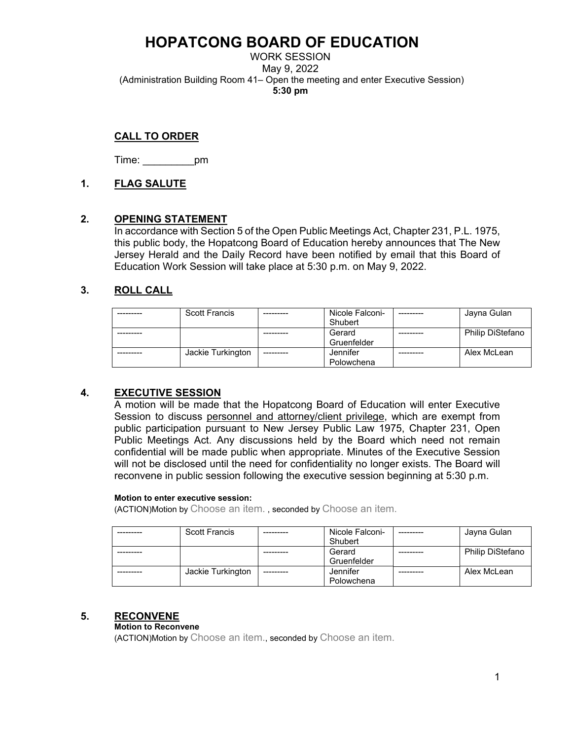WORK SESSION May 9, 2022 (Administration Building Room 41– Open the meeting and enter Executive Session) **5:30 pm**

## **CALL TO ORDER**

Time: \_\_\_\_\_\_\_\_\_pm

### **1. FLAG SALUTE**

### **2. OPENING STATEMENT**

In accordance with Section 5 of the Open Public Meetings Act, Chapter 231, P.L. 1975, this public body, the Hopatcong Board of Education hereby announces that The New Jersey Herald and the Daily Record have been notified by email that this Board of Education Work Session will take place at 5:30 p.m. on May 9, 2022.

## **3. ROLL CALL**

| <b>Scott Francis</b> | Nicole Falconi- | Jayna Gulan             |
|----------------------|-----------------|-------------------------|
|                      | Shubert         |                         |
|                      | Gerard          | <b>Philip DiStefano</b> |
|                      | Gruenfelder     |                         |
| Jackie Turkington    | Jennifer        | Alex McLean             |
|                      | Polowchena      |                         |

### **4. EXECUTIVE SESSION**

A motion will be made that the Hopatcong Board of Education will enter Executive Session to discuss personnel and attorney/client privilege, which are exempt from public participation pursuant to New Jersey Public Law 1975, Chapter 231, Open Public Meetings Act. Any discussions held by the Board which need not remain confidential will be made public when appropriate. Minutes of the Executive Session will not be disclosed until the need for confidentiality no longer exists. The Board will reconvene in public session following the executive session beginning at 5:30 p.m.

#### **Motion to enter executive session:**

(ACTION)Motion by Choose an item. , seconded by Choose an item.

| <b>Scott Francis</b> |           | Nicole Falconi- | Jayna Gulan             |
|----------------------|-----------|-----------------|-------------------------|
|                      |           | Shubert         |                         |
|                      |           | Gerard          | <b>Philip DiStefano</b> |
|                      |           | Gruenfelder     |                         |
| Jackie Turkington    | --------- | Jennifer        | Alex McLean             |
|                      |           | Polowchena      |                         |

### **5. RECONVENE**

#### **Motion to Reconvene**

(ACTION)Motion by Choose an item., seconded by Choose an item.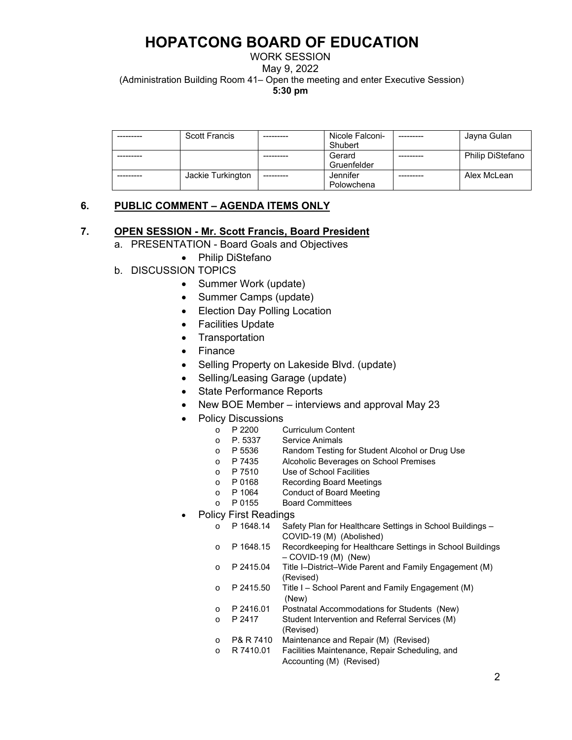WORK SESSION

May 9, 2022

(Administration Building Room 41– Open the meeting and enter Executive Session)

**5:30 pm**

| <b>Scott Francis</b> |            | Nicole Falconi- | Jayna Gulan             |
|----------------------|------------|-----------------|-------------------------|
|                      |            | Shubert         |                         |
|                      |            | Gerard          | <b>Philip DiStefano</b> |
|                      |            | Gruenfelder     |                         |
| Jackie Turkington    | ---------- | Jennifer        | Alex McLean             |
|                      |            | Polowchena      |                         |

# **6. PUBLIC COMMENT – AGENDA ITEMS ONLY**

### **7. OPEN SESSION - Mr. Scott Francis, Board President**

- a. PRESENTATION Board Goals and Objectives
	- Philip DiStefano
- b. DISCUSSION TOPICS
	- Summer Work (update)
	- Summer Camps (update)
	- Election Day Polling Location
	- Facilities Update
	- Transportation
	- Finance
	- Selling Property on Lakeside Blvd. (update)
	- Selling/Leasing Garage (update)
	- State Performance Reports
	- New BOE Member interviews and approval May 23
	- Policy Discussions<br>  $\circ$  P 2200
		- o P 2200 Curriculum Content<br>
		o P. 5337 Service Animals
		- Service Animals
		- o P 5536 Random Testing for Student Alcohol or Drug Use
		- P 7435 Alcoholic Beverages on School Premises<br>○ P 7510 Use of School Facilities
		- o P 7510 Use of School Facilities<br>
		o P 0168 Recording Board Meetir
		- o P 0168 Recording Board Meetings<br>
		o P 1064 Conduct of Board Meeting
		- o P 1064 Conduct of Board Meeting<br>
		o P 0155 Board Committees
		- **Board Committees**
	- Policy First Readings
		- o P 1648.14 Safety Plan for Healthcare Settings in School Buildings COVID-19 (M) (Abolished)
		- o P 1648.15 Recordkeeping for Healthcare Settings in School Buildings – COVID-19 (M) (New)
		- o P 2415.04 Title I–District–Wide Parent and Family Engagement (M) (Revised)
		- $\circ$  P 2415.50 Title I School Parent and Family Engagement (M) (New)
		- o P 2416.01 Postnatal Accommodations for Students (New)
		- o P 2417 Student Intervention and Referral Services (M) (Revised)
		- o P& R 7410 Maintenance and Repair (M) (Revised)
		- o R 7410.01 Facilities Maintenance, Repair Scheduling, and Accounting (M) (Revised)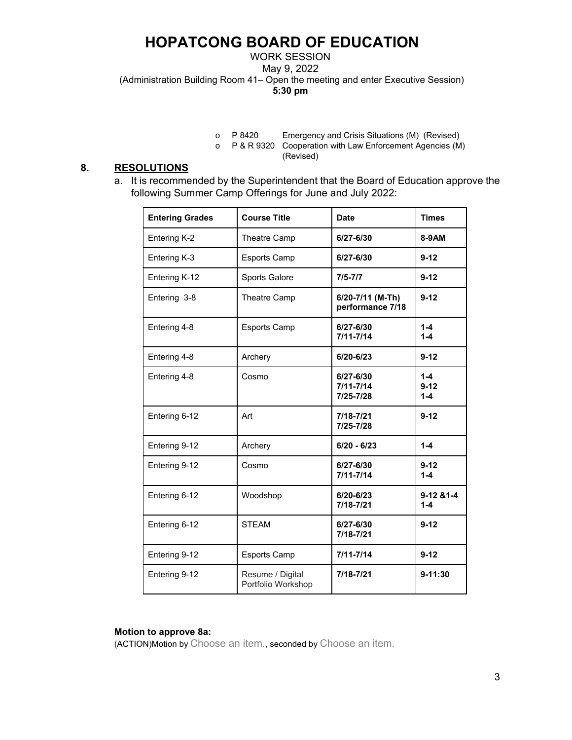WORK SESSION

May 9, 2022

(Administration Building Room 41– Open the meeting and enter Executive Session)

**5:30 pm**

o P 8420 Emergency and Crisis Situations (M) (Revised)

o P & R 9320 Cooperation with Law Enforcement Agencies (M) (Revised)

## **8. RESOLUTIONS**

a. It is recommended by the Superintendent that the Board of Education approve the following Summer Camp Offerings for June and July 2022:

| <b>Entering Grades</b> | <b>Course Title</b>                    | <b>Date</b>                             | <b>Times</b>                   |
|------------------------|----------------------------------------|-----------------------------------------|--------------------------------|
| Entering K-2           | Theatre Camp                           | 6/27-6/30                               | 8-9AM                          |
| Entering K-3           | <b>Esports Camp</b>                    | 6/27-6/30                               | $9 - 12$                       |
| Entering K-12          | Sports Galore                          | $7/5 - 7/7$                             | $9 - 12$                       |
| Entering 3-8           | Theatre Camp                           | 6/20-7/11 (M-Th)<br>performance 7/18    | $9 - 12$                       |
| Entering 4-8           | <b>Esports Camp</b>                    | 6/27-6/30<br>$7/11 - 7/14$              | $1 - 4$<br>$1 - 4$             |
| Entering 4-8           | Archery                                | 6/20-6/23                               | $9 - 12$                       |
| Entering 4-8           | Cosmo                                  | 6/27-6/30<br>$7/11 - 7/14$<br>7/25-7/28 | $1 - 4$<br>$9 - 12$<br>$1 - 4$ |
| Entering 6-12          | Art                                    | 7/18-7/21<br>7/25-7/28                  | $9 - 12$                       |
| Entering 9-12          | Archery                                | $6/20 - 6/23$                           | $1 - 4$                        |
| Entering 9-12          | Cosmo                                  | 6/27-6/30<br>$7/11 - 7/14$              | $9 - 12$<br>$1 - 4$            |
| Entering 6-12          | Woodshop                               | 6/20-6/23<br>7/18-7/21                  | $9-1281-4$<br>$1 - 4$          |
| Entering 6-12          | <b>STEAM</b>                           | 6/27-6/30<br>7/18-7/21                  | $9-12$                         |
| Entering 9-12          | <b>Esports Camp</b>                    | $7/11 - 7/14$                           | $9-12$                         |
| Entering 9-12          | Resume / Digital<br>Portfolio Workshop | 7/18-7/21                               | $9 - 11:30$                    |

#### **Motion to approve 8a:**

(ACTION)Motion by Choose an item., seconded by Choose an item.